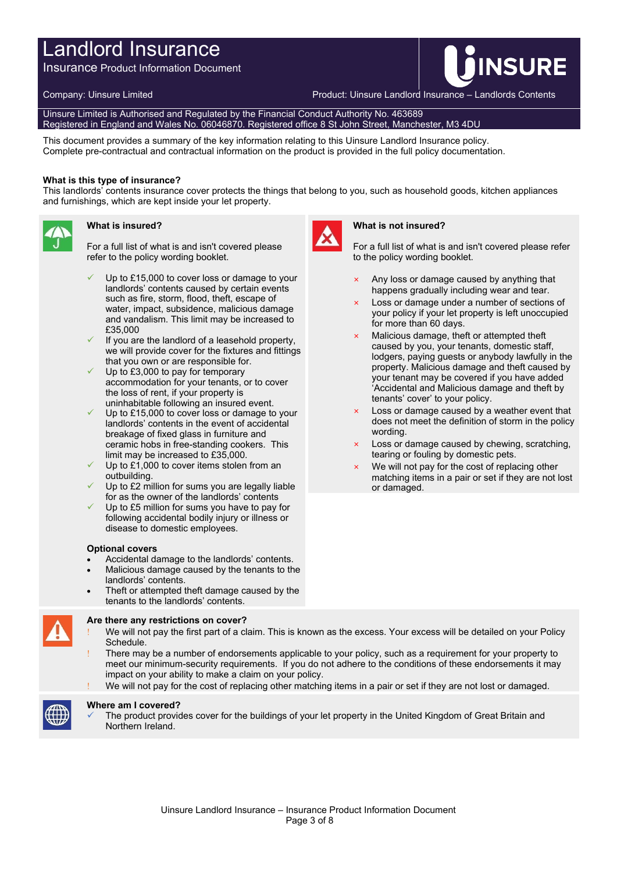# Landlord Insurance

Insurance Product Information Document

Company: Uinsure Limited Product: Uinsure Landlord Insurance – Landlords Contents

**INSURE** 

Uinsure Limited is Authorised and Regulated by the Financial Conduct Authority No. 463689 Registered in England and Wales No. 06046870. Registered office 8 St John Street, Manchester, M3 4DU

This document provides a summary of the key information relating to this Uinsure Landlord Insurance policy. Complete pre-contractual and contractual information on the product is provided in the full policy documentation.

### **What is this type of insurance?**

This landlords' contents insurance cover protects the things that belong to you, such as household goods, kitchen appliances and furnishings, which are kept inside your let property.



# **What is insured?**

For a full list of what is and isn't covered please refer to the policy wording booklet.

- Up to £15,000 to cover loss or damage to your landlords' contents caused by certain events such as fire, storm, flood, theft, escape of water, impact, subsidence, malicious damage and vandalism. This limit may be increased to £35,000
- If you are the landlord of a leasehold property, we will provide cover for the fixtures and fittings that you own or are responsible for.
- Up to £3,000 to pay for temporary accommodation for your tenants, or to cover the loss of rent, if your property is uninhabitable following an insured event.
- Up to £15,000 to cover loss or damage to your landlords' contents in the event of accidental breakage of fixed glass in furniture and ceramic hobs in free-standing cookers. This limit may be increased to £35,000.
- Up to £1,000 to cover items stolen from an outbuilding.
- Up to £2 million for sums you are legally liable for as the owner of the landlords' contents
- Up to £5 million for sums you have to pay for following accidental bodily injury or illness or disease to domestic employees.

#### **Optional covers**

- Accidental damage to the landlords' contents.
- Malicious damage caused by the tenants to the landlords' contents.
- Theft or attempted theft damage caused by the tenants to the landlords' contents.



## **Are there any restrictions on cover?**

- We will not pay the first part of a claim. This is known as the excess. Your excess will be detailed on your Policy Schedule.
- There may be a number of endorsements applicable to your policy, such as a requirement for your property to meet our minimum-security requirements. If you do not adhere to the conditions of these endorsements it may impact on your ability to make a claim on your policy.
- We will not pay for the cost of replacing other matching items in a pair or set if they are not lost or damaged.



#### **Where am I covered?**

 The product provides cover for the buildings of your let property in the United Kingdom of Great Britain and Northern Ireland.



### **What is not insured?**

For a full list of what is and isn't covered please refer to the policy wording booklet.

- $\times$  Any loss or damage caused by anything that happens gradually including wear and tear.
- Loss or damage under a number of sections of your policy if your let property is left unoccupied for more than 60 days.
- Malicious damage, theft or attempted theft caused by you, your tenants, domestic staff, lodgers, paying guests or anybody lawfully in the property. Malicious damage and theft caused by your tenant may be covered if you have added 'Accidental and Malicious damage and theft by tenants' cover' to your policy.
- $\times$  Loss or damage caused by a weather event that does not meet the definition of storm in the policy wording.
- × Loss or damage caused by chewing, scratching, tearing or fouling by domestic pets.
- We will not pay for the cost of replacing other matching items in a pair or set if they are not lost or damaged.